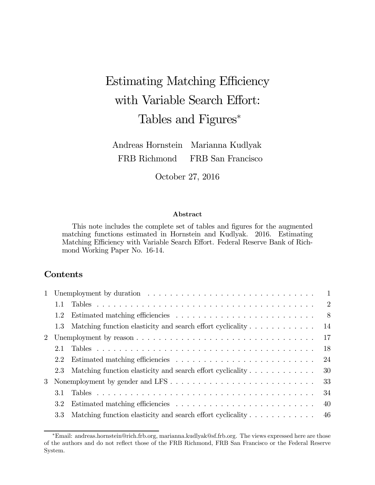# Estimating Matching Efficiency with Variable Search Effort: Tables and Figures<sup>∗</sup>

Andreas Hornstein FRB Richmond Marianna Kudlyak FRB San Francisco

October 27, 2016

#### Abstract

This note includes the complete set of tables and figures for the augmented matching functions estimated in Hornstein and Kudlyak. 2016. Estimating Matching Efficiency with Variable Search Effort. Federal Reserve Bank of Richmond Working Paper No. 16-14.

## Contents

|               | $\overline{1}$                                                       |
|---------------|----------------------------------------------------------------------|
| 1.1           | $\overline{2}$                                                       |
| $1.2^{\circ}$ | $\sim$ 8                                                             |
|               | 14<br>1.3 Matching function elasticity and search effort cyclicality |
|               | 17                                                                   |
| 2.1           | 18                                                                   |
| $2.2^{\circ}$ | 24                                                                   |
|               | 30<br>2.3 Matching function elasticity and search effort cyclicality |
|               | 33<br>3 Nonemployment by gender and LFS                              |
| 31            | 34                                                                   |
| 3.2           | 40                                                                   |
| 3.3           | 46<br>Matching function elasticity and search effort cyclicality     |

<sup>∗</sup>Email: andreas.hornstein@rich.frb.org, marianna.kudlyak@sf.frb.org. The views expressed here are those of the authors and do not reflect those of the FRB Richmond, FRB San Francisco or the Federal Reserve System.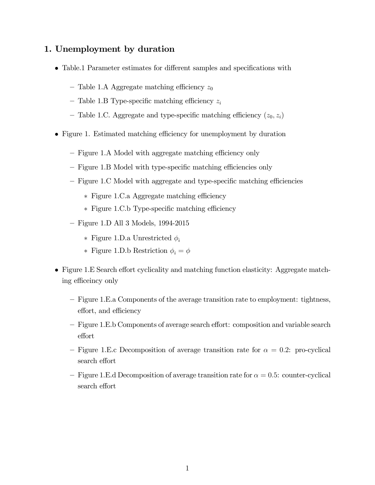## 1. Unemployment by duration

- Table.1 Parameter estimates for different samples and specifications with
	- Table 1.A Aggregate matching efficiency  $z_0$
	- Table 1.B Type-specific matching efficiency  $z_i$
	- Table 1.C. Aggregate and type-specific matching efficiency  $(z_0, z_i)$
- Figure 1. Estimated matching efficiency for unemployment by duration
	- Figure 1.A Model with aggregate matching efficiency only
	- Figure 1.B Model with type-specific matching efficiencies only
	- Figure 1.C Model with aggregate and type-specific matching efficiencies
		- ∗ Figure 1.C.a Aggregate matching efficiency
		- ∗ Figure 1.C.b Type-specific matching efficiency
	- Figure 1.D All 3 Models, 1994-2015
		- ∗ Figure 1.D.a Unrestricted
		- ∗ Figure 1.D.b Restriction  $\phi_i = \phi$
- Figure 1.E Search effort cyclicality and matching function elasticity: Aggregate matching efficeincy only
	- Figure 1.E.a Components of the average transition rate to employment: tightness, effort, and efficiency
	- Figure 1.E.b Components of average search effort: composition and variable search effort
	- Figure 1.E.c Decomposition of average transition rate for  $\alpha = 0.2$ : pro-cyclical search effort
	- $-$  Figure 1.E.d Decomposition of average transition rate for  $\alpha = 0.5$ : counter-cyclical search effort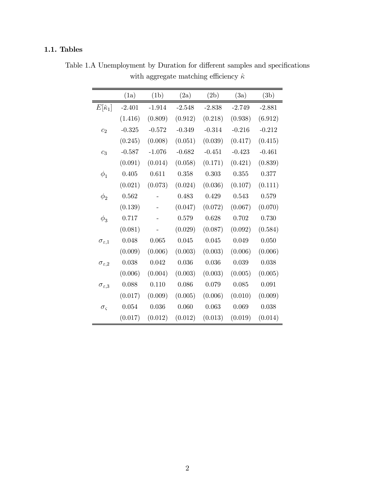## 1.1. Tables

|                          | (1a)     | (1b)     | (2a)     | (2b)     | (3a)     | (3b)     |
|--------------------------|----------|----------|----------|----------|----------|----------|
| $E[\hat{\kappa}_1]$      | $-2.401$ | $-1.914$ | $-2.548$ | $-2.838$ | $-2.749$ | $-2.881$ |
|                          | (1.416)  | (0.809)  | (0.912)  | (0.218)  | (0.938)  | (6.912)  |
| c <sub>2</sub>           | $-0.325$ | $-0.572$ | $-0.349$ | $-0.314$ | $-0.216$ | $-0.212$ |
|                          | (0.245)  | (0.008)  | (0.051)  | (0.039)  | (0.417)  | (0.415)  |
| $c_3$                    | $-0.587$ | $-1.076$ | $-0.682$ | $-0.451$ | $-0.423$ | $-0.461$ |
|                          | (0.091)  | (0.014)  | (0.058)  | (0.171)  | (0.421)  | (0.839)  |
| $\phi_1$                 | 0.405    | 0.611    | 0.358    | 0.303    | 0.355    | 0.377    |
|                          | (0.021)  | (0.073)  | (0.024)  | (0.036)  | (0.107)  | (0.111)  |
| $\phi_2$                 | 0.562    |          | 0.483    | 0.429    | 0.543    | 0.579    |
|                          | (0.139)  |          | (0.047)  | (0.072)  | (0.067)  | (0.070)  |
| $\phi_3$                 | 0.717    |          | 0.579    | 0.628    | 0.702    | 0.730    |
|                          | (0.081)  |          | (0.029)  | (0.087)  | (0.092)  | (0.584)  |
| $\sigma_{\varepsilon,1}$ | 0.048    | 0.065    | 0.045    | 0.045    | 0.049    | 0.050    |
|                          | (0.009)  | (0.006)  | (0.003)  | (0.003)  | (0.006)  | (0.006)  |
| $\sigma_{\varepsilon,2}$ | 0.038    | 0.042    | 0.036    | 0.036    | 0.039    | 0.038    |
|                          | (0.006)  | (0.004)  | (0.003)  | (0.003)  | (0.005)  | (0.005)  |
| $\sigma_{\varepsilon,3}$ | 0.088    | 0.110    | 0.086    | 0.079    | 0.085    | 0.091    |
|                          | (0.017)  | (0.009)  | (0.005)  | (0.006)  | (0.010)  | (0.009)  |
| $\sigma_{\rm c}$         | 0.054    | 0.036    | 0.060    | 0.063    | 0.069    | 0.038    |
|                          | (0.017)  | (0.012)  | (0.012)  | (0.013)  | (0.019)  | (0.014)  |

Table 1.A Unemployment by Duration for different samples and specifications with aggregate matching efficiency  $\hat{\kappa}$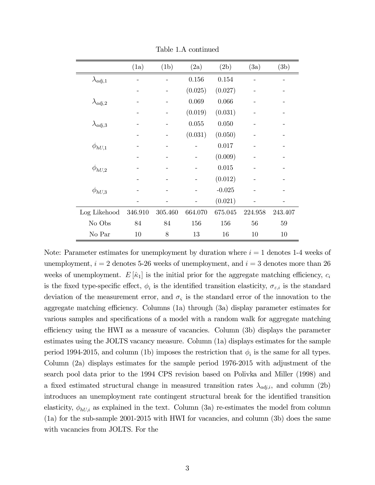|                   | (1a)    | (1b)    | (2a)    | (2b)     | (3a)    | (3b)    |
|-------------------|---------|---------|---------|----------|---------|---------|
| $\lambda_{adj,1}$ |         |         | 0.156   | 0.154    |         |         |
|                   |         |         | (0.025) | (0.027)  |         |         |
| $\lambda_{adj,2}$ |         |         | 0.069   | 0.066    |         |         |
|                   |         |         | (0.019) | (0.031)  |         |         |
| $\lambda_{adj,3}$ |         |         | 0.055   | 0.050    |         |         |
|                   |         |         | (0.031) | (0.050)  |         |         |
| $\phi_{hU,1}$     |         |         |         | 0.017    |         |         |
|                   |         |         |         | (0.009)  |         |         |
| $\phi_{hU,2}$     |         |         |         | 0.015    |         |         |
|                   |         |         |         | (0.012)  |         |         |
| $\phi_{hU,3}$     |         |         |         | $-0.025$ |         |         |
|                   |         |         |         | (0.021)  |         |         |
| Log Likehood      | 346.910 | 305.460 | 664.070 | 675.045  | 224.958 | 243.407 |
| No Obs            | 84      | 84      | 156     | 156      | 56      | 59      |
| No Par            | 10      | 8       | 13      | 16       | 10      | 10      |

Table 1.A continued

Note: Parameter estimates for unemployment by duration where  $i = 1$  denotes 1-4 weeks of unemployment,  $i = 2$  denotes 5-26 weeks of unemployment, and  $i = 3$  denotes more than 26 weeks of unemployment.  $E[\hat{\kappa}_1]$  is the initial prior for the aggregate matching efficiency,  $c_i$ is the fixed type-specific effect,  $\phi_i$  is the identified transition elasticity,  $\sigma_{\varepsilon,i}$  is the standard deviation of the measurement error, and  $\sigma_{\rm s}$  is the standard error of the innovation to the aggregate matching efficiency. Columns (1a) through (3a) display parameter estimates for various samples and specifications of a model with a random walk for aggregate matching efficiency using the HWI as a measure of vacancies. Column (3b) displays the parameter estimates using the JOLTS vacancy measure. Column (1a) displays estimates for the sample period 1994-2015, and column (1b) imposes the restriction that  $\phi_i$  is the same for all types. Column (2a) displays estimates for the sample period 1976-2015 with adjustment of the search pool data prior to the 1994 CPS revision based on Polivka and Miller (1998) and a fixed estimated structural change in measured transition rates  $\lambda_{adj,i}$ , and column (2b) introduces an unemployment rate contingent structural break for the identified transition elasticity,  $\phi_{hU,i}$  as explained in the text. Column (3a) re-estimates the model from column (1a) for the sub-sample 2001-2015 with HWI for vacancies, and column (3b) does the same with vacancies from JOLTS. For the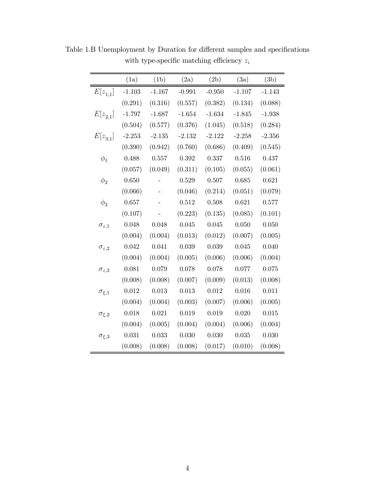|                          | (1a)     | (1b)     | (2a)     | (2b)     | (3a)     | (3b)     |
|--------------------------|----------|----------|----------|----------|----------|----------|
| $E[z_{1,1}]$             | $-1.103$ | $-1.167$ | $-0.991$ | $-0.950$ | $-1.107$ | $-1.143$ |
|                          | (0.291)  | (0.316)  | (0.557)  | (0.382)  | (0.134)  | (0.088)  |
| $E[z_{2,1}]$             | $-1.797$ | $-1.687$ | $-1.654$ | $-1.634$ | $-1.845$ | $-1.938$ |
|                          | (0.504)  | (0.577)  | (0.376)  | (1.045)  | (0.518)  | (0.284)  |
| $E[z_{3,1}]$             | $-2.253$ | $-2.135$ | $-2.132$ | $-2.122$ | $-2.258$ | $-2.356$ |
|                          | (0.390)  | (0.942)  | (0.760)  | (0.686)  | (0.409)  | (0.545)  |
| $\phi_1$                 | 0.488    | 0.557    | 0.392    | 0.337    | 0.516    | 0.437    |
|                          | (0.057)  | (0.049)  | (0.311)  | (0.105)  | (0.055)  | (0.061)  |
| $\phi_2$                 | 0.650    |          | 0.529    | 0.507    | 0.685    | 0.621    |
|                          | (0.066)  |          | (0.046)  | (0.214)  | (0.051)  | (0.079)  |
| $\phi_3$                 | 0.657    |          | 0.512    | 0.508    | 0.621    | 0.577    |
|                          | (0.107)  |          | (0.223)  | (0.135)  | (0.085)  | (0.101)  |
| $\sigma_{\varepsilon,1}$ | 0.048    | 0.048    | 0.045    | 0.045    | 0.050    | 0.050    |
|                          | (0.004)  | (0.004)  | (0.013)  | (0.012)  | (0.007)  | (0.005)  |
| $\sigma_{\varepsilon,2}$ | 0.042    | 0.041    | 0.039    | 0.039    | 0.045    | 0.040    |
|                          | (0.004)  | (0.004)  | (0.005)  | (0.006)  | (0.006)  | (0.004)  |
| $\sigma_{\varepsilon,3}$ | 0.081    | 0.079    | 0.078    | 0.078    | 0.077    | 0.075    |
|                          | (0.008)  | (0.008)  | (0.007)  | (0.009)  | (0.013)  | (0.008)  |
| $\sigma_{\xi,1}$         | 0.012    | 0.013    | 0.013    | 0.012    | 0.016    | 0.011    |
|                          | (0.004)  | (0.004)  | (0.003)  | (0.007)  | (0.006)  | (0.005)  |
| $\sigma_{\xi,2}$         | 0.018    | 0.021    | 0.019    | 0.019    | 0.020    | 0.015    |
|                          | (0.004)  | (0.005)  | (0.004)  | (0.004)  | (0.006)  | (0.004)  |
| $\sigma_{\xi,3}$         | 0.031    | 0.033    | 0.030    | 0.030    | 0.035    | 0.030    |
|                          | (0.008)  | (0.008)  | (0.008)  | (0.017)  | (0.010)  | (0.008)  |

Table 1.B Unemployment by Duration for different samples and specifications with type-specific matching efficiency  $\boldsymbol{z}_i$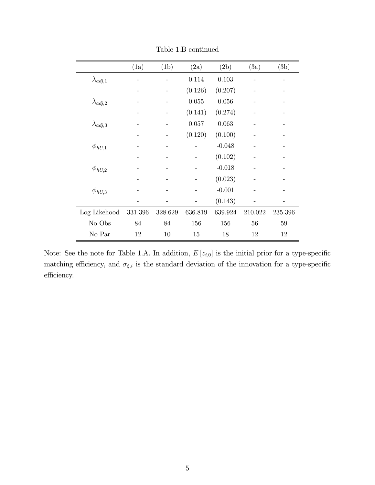|                   | (1a)    | (1b)    | (2a)    | (2b)     | (3a)    | (3b)    |
|-------------------|---------|---------|---------|----------|---------|---------|
| $\lambda_{adj,1}$ |         |         | 0.114   | 0.103    |         |         |
|                   |         |         | (0.126) | (0.207)  |         |         |
| $\lambda_{adj,2}$ |         |         | 0.055   | 0.056    |         |         |
|                   |         |         | (0.141) | (0.274)  |         |         |
| $\lambda_{adj,3}$ |         |         | 0.057   | 0.063    |         |         |
|                   |         |         | (0.120) | (0.100)  |         |         |
| $\phi_{hU,1}$     |         |         |         | $-0.048$ |         |         |
|                   |         |         |         | (0.102)  |         |         |
| $\phi_{hU,2}$     |         |         |         | $-0.018$ |         |         |
|                   |         |         |         | (0.023)  |         |         |
| $\phi_{hU,3}$     |         |         |         | $-0.001$ |         |         |
|                   |         |         |         | (0.143)  |         |         |
| Log Likehood      | 331.396 | 328.629 | 636.819 | 639.924  | 210.022 | 235.396 |
| No Obs            | 84      | 84      | 156     | 156      | 56      | 59      |
| No Par            | 12      | 10      | 15      | 18       | 12      | 12      |

Table 1.B continued

Note: See the note for Table 1.A. In addition,  $E[z_{i,0}]$  is the initial prior for a type-specific matching efficiency, and  $\sigma_{\xi,i}$  is the standard deviation of the innovation for a type-specific efficiency.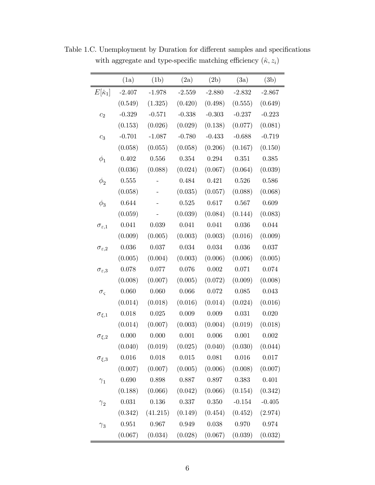|                          | (1a)        | (1b)      | (2a)      | (2b)        | (3a)      | (3b)      |
|--------------------------|-------------|-----------|-----------|-------------|-----------|-----------|
| $E[\hat{\kappa}_1]$      | $-2.407$    | $-1.978$  | $-2.559$  | $-2.880$    | $-2.832$  | $-2.867$  |
|                          | (0.549)     | (1.325)   | (0.420)   | (0.498)     | (0.555)   | (0.649)   |
| c <sub>2</sub>           | $-0.329$    | $-0.571$  | $-0.338$  | $-0.303$    | $-0.237$  | $-0.223$  |
|                          | (0.153)     | (0.026)   | (0.029)   | (0.138)     | (0.077)   | (0.081)   |
| $\mathcal{C}_3$          | $-0.701$    | $-1.087$  | $-0.780$  | $-0.433$    | $-0.688$  | $-0.719$  |
|                          | (0.058)     | (0.055)   | (0.058)   | (0.206)     | (0.167)   | (0.150)   |
| $\phi_1$                 | 0.402       | 0.556     | $0.354\,$ | 0.294       | $0.351\,$ | 0.385     |
|                          | (0.036)     | (0.088)   | (0.024)   | (0.067)     | (0.064)   | (0.039)   |
| $\phi_2$                 | 0.555       |           | 0.484     | 0.421       | 0.526     | 0.586     |
|                          | (0.058)     |           | (0.035)   | (0.057)     | (0.088)   | (0.068)   |
| $\phi_3$                 | 0.644       |           | $0.525\,$ | 0.617       | 0.567     | 0.609     |
|                          | (0.059)     |           | (0.039)   | (0.084)     | (0.144)   | (0.083)   |
| $\sigma_{\varepsilon,1}$ | 0.041       | 0.039     | 0.041     | 0.041       | 0.036     | 0.044     |
|                          | (0.009)     | (0.005)   | (0.003)   | (0.003)     | (0.016)   | (0.009)   |
| $\sigma_{\varepsilon,2}$ | 0.036       | 0.037     | 0.034     | 0.034       | 0.036     | 0.037     |
|                          | (0.005)     | (0.004)   | (0.003)   | (0.006)     | (0.006)   | (0.005)   |
| $\sigma_{\varepsilon,3}$ | 0.078       | $0.077\,$ | $0.076\,$ | $0.002\,$   | 0.071     | 0.074     |
|                          | (0.008)     | (0.007)   | (0.005)   | (0.072)     | (0.009)   | (0.008)   |
| $\sigma_{\varsigma}$     | 0.060       | 0.060     | 0.066     | 0.072       | 0.085     | 0.043     |
|                          | (0.014)     | (0.018)   | (0.016)   | (0.014)     | (0.024)   | (0.016)   |
| $\sigma_{\xi,1}$         | 0.018       | 0.025     | 0.009     | 0.009       | 0.031     | 0.020     |
|                          | (0.014)     | (0.007)   | (0.003)   | (0.004)     | (0.019)   | (0.018)   |
| $\sigma_{\xi,2}$         | 0.000       | 0.000     | $0.001\,$ | $0.006\,$   | 0.001     | $0.002\,$ |
|                          | (0.040)     | (0.019)   | (0.025)   | (0.040)     | (0.030)   | (0.044)   |
| $\sigma_{\xi,3}$         | $0.016\,$   | 0.018     | $0.015\,$ | $\,0.081\,$ | 0.016     | $0.017\,$ |
|                          | (0.007)     | (0.007)   | (0.005)   | (0.006)     | (0.008)   | (0.007)   |
| $\gamma_1$               | 0.690       | 0.898     | 0.887     | 0.897       | 0.383     | $0.401\,$ |
|                          | (0.188)     | (0.066)   | (0.042)   | (0.066)     | (0.154)   | (0.342)   |
| $\gamma_2$               | $\,0.031\,$ | $0.136\,$ | 0.337     | $0.350\,$   | $-0.154$  | $-0.405$  |
|                          | (0.342)     | (41.215)  | (0.149)   | (0.454)     | (0.452)   | (2.974)   |
| $\gamma_3$               | 0.951       | $0.967\,$ | 0.949     | 0.038       | 0.970     | $0.974\,$ |
|                          | (0.067)     | (0.034)   | (0.028)   | (0.067)     | (0.039)   | (0.032)   |

Table 1.C. Unemployment by Duration for different samples and specifications with aggregate and type-specific matching efficiency  $(\hat{\kappa},z_i)$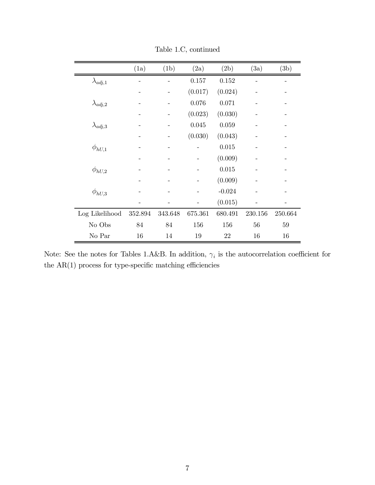|                   | (1a)    | (1b)    | (2a)    | (2b)     | (3a)    | (3b)    |
|-------------------|---------|---------|---------|----------|---------|---------|
| $\lambda_{adj,1}$ |         |         | 0.157   | 0.152    |         |         |
|                   |         |         | (0.017) | (0.024)  |         |         |
| $\lambda_{adj,2}$ |         |         | 0.076   | 0.071    |         |         |
|                   |         |         | (0.023) | (0.030)  |         |         |
| $\lambda_{adj,3}$ |         |         | 0.045   | 0.059    |         |         |
|                   |         |         | (0.030) | (0.043)  |         |         |
| $\phi_{hU,1}$     |         |         |         | 0.015    |         |         |
|                   |         |         |         | (0.009)  |         |         |
| $\phi_{hU,2}$     |         |         |         | 0.015    |         |         |
|                   |         |         |         | (0.009)  |         |         |
| $\phi_{hU,3}$     |         |         |         | $-0.024$ |         |         |
|                   |         |         |         | (0.015)  |         |         |
| Log Likelihood    | 352.894 | 343.648 | 675.361 | 680.491  | 230.156 | 250.664 |
| No Obs            | 84      | 84      | 156     | 156      | 56      | 59      |
| No Par            | 16      | 14      | 19      | 22       | 16      | 16      |

Table 1.C, continued

Note: See the notes for Tables 1.A&B. In addition,  $\gamma_i$  is the autocorrelation coefficient for the  $AR(1)$  process for type-specific matching efficiencies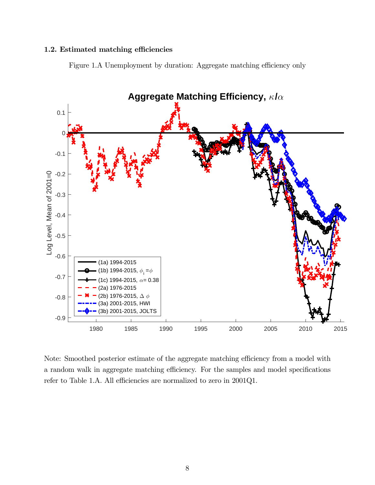#### 1.2. Estimated matching efficiencies

Figure 1.A Unemployment by duration: Aggregate matching efficiency only



Note: Smoothed posterior estimate of the aggregate matching efficiency from a model with a random walk in aggregate matching efficiency. For the samples and model specifications refer to Table 1.A. All efficiencies are normalized to zero in 2001Q1.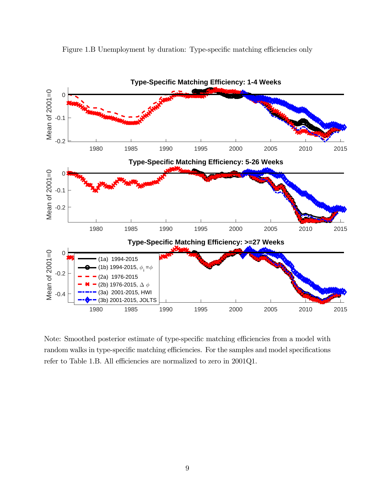

Figure 1.B Unemployment by duration: Type-specific matching efficiencies only

Note: Smoothed posterior estimate of type-specific matching efficiencies from a model with random walks in type-specific matching efficiencies. For the samples and model specifications refer to Table 1.B. All efficiencies are normalized to zero in 2001Q1.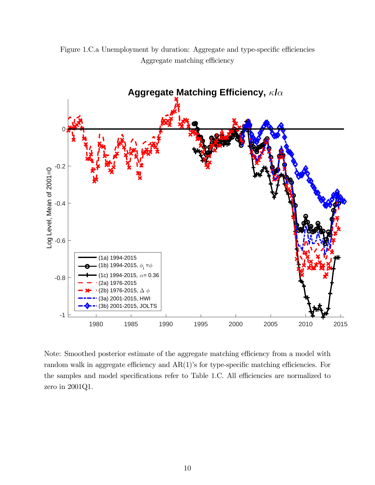

Figure 1.C.a Unemployment by duration: Aggregate and type-specific efficiencies Aggregate matching efficiency

Note: Smoothed posterior estimate of the aggregate matching efficiency from a model with random walk in aggregate efficiency and AR(1)'s for type-specific matching efficiencies. For the samples and model specifications refer to Table 1.C. All efficiencies are normalized to zero in 2001Q1.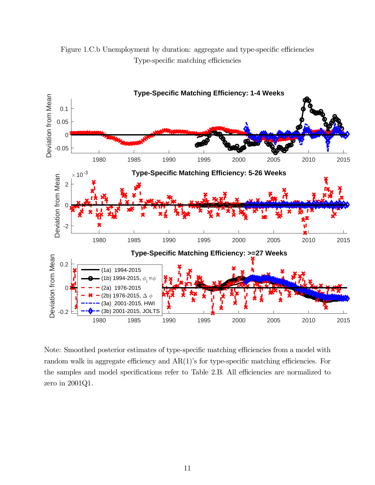

Figure 1.C.b Unemployment by duration: aggregate and type-specific efficiencies Type-specific matching efficiencies

Note: Smoothed posterior estimates of type-specific matching efficiencies from a model with random walk in aggregate efficiency and AR(1)'s for type-specific matching efficiencies. For the samples and model specifications refer to Table 2.B. All efficiencies are normalized to zero in 2001Q1.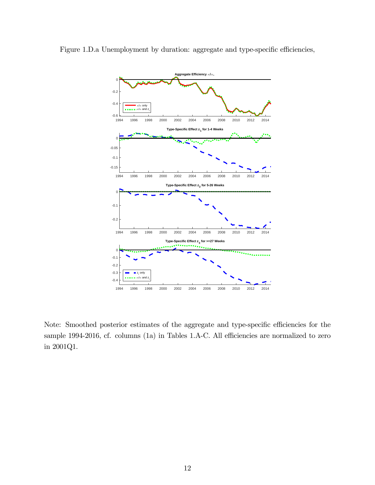

Figure 1.D.a Unemployment by duration: aggregate and type-specific efficiencies,

Note: Smoothed posterior estimates of the aggregate and type-specific efficiencies for the sample 1994-2016, cf. columns (1a) in Tables 1.A-C. All efficiencies are normalized to zero in 2001Q1.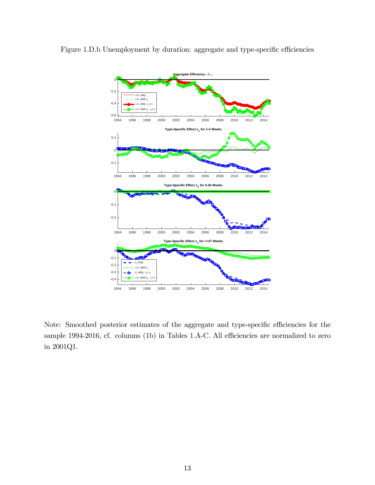



Note: Smoothed posterior estimates of the aggregate and type-specific efficiencies for the sample 1994-2016, cf. columns (1b) in Tables 1.A-C. All efficiencies are normalized to zero in 2001Q1.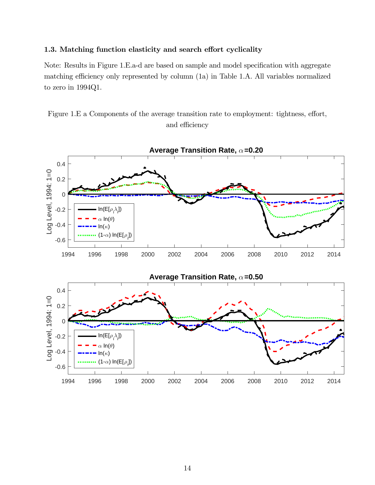#### 1.3. Matching function elasticity and search effort cyclicality

Note: Results in Figure 1.E.a-d are based on sample and model specification with aggregate matching efficiency only represented by column (1a) in Table 1.A. All variables normalized to zero in 1994Q1.

Figure 1.E a Components of the average transition rate to employment: tightness, effort, and efficiency

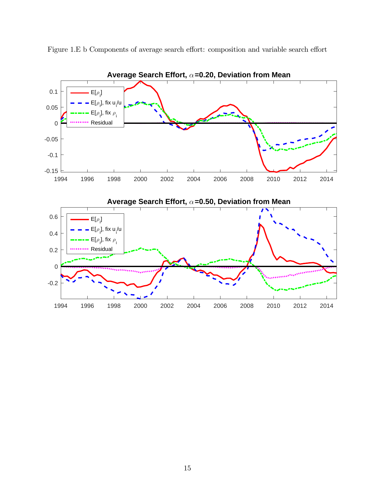

Figure 1.E b Components of average search effort: composition and variable search effort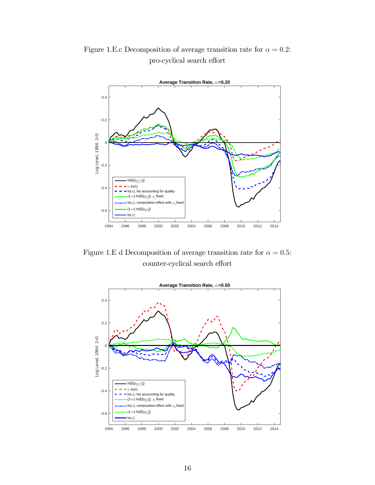

Figure 1.E.c Decomposition of average transition rate for  $\alpha = 0.2$ : pro-cyclical search effort

Figure 1.E d Decomposition of average transition rate for  $\alpha = 0.5$ : counter-cyclical search effort

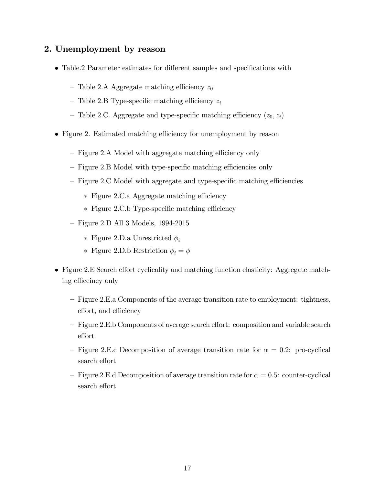## 2. Unemployment by reason

- Table.2 Parameter estimates for different samples and specifications with
	- Table 2.A Aggregate matching efficiency  $z_0$
	- Table 2.B Type-specific matching efficiency  $z_i$
	- Table 2.C. Aggregate and type-specific matching efficiency  $(z_0, z_i)$
- Figure 2. Estimated matching efficiency for unemployment by reason
	- Figure 2.A Model with aggregate matching efficiency only
	- Figure 2.B Model with type-specific matching efficiencies only
	- Figure 2.C Model with aggregate and type-specific matching efficiencies
		- ∗ Figure 2.C.a Aggregate matching efficiency
		- ∗ Figure 2.C.b Type-specific matching efficiency
	- Figure 2.D All 3 Models, 1994-2015
		- ∗ Figure 2.D.a Unrestricted
		- ∗ Figure 2.D.b Restriction  $\phi_i = \phi$
- Figure 2.E Search effort cyclicality and matching function elasticity: Aggregate matching efficeincy only
	- Figure 2.E.a Components of the average transition rate to employment: tightness, effort, and efficiency
	- Figure 2.E.b Components of average search effort: composition and variable search effort
	- Figure 2.E.c Decomposition of average transition rate for  $\alpha = 0.2$ : pro-cyclical search effort
	- $-$  Figure 2.E.d Decomposition of average transition rate for  $\alpha = 0.5$ : counter-cyclical search effort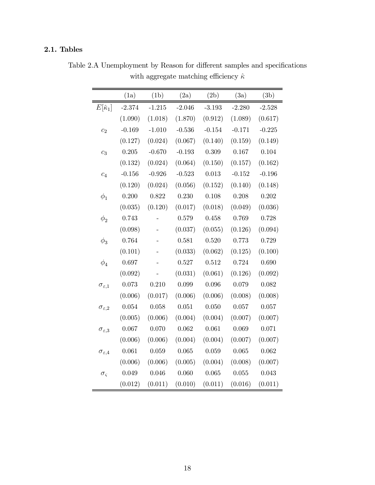## 2.1. Tables

|                          | (1a)     | (1b)     | (2a)     | (2b)     | (3a)     | (3b)     |
|--------------------------|----------|----------|----------|----------|----------|----------|
| $E[\hat{\kappa}_1]$      | $-2.374$ | $-1.215$ | $-2.046$ | $-3.193$ | $-2.280$ | $-2.528$ |
|                          | (1.090)  | (1.018)  | (1.870)  | (0.912)  | (1.089)  | (0.617)  |
| $\overline{c_2}$         | $-0.169$ | $-1.010$ | $-0.536$ | $-0.154$ | $-0.171$ | $-0.225$ |
|                          | (0.127)  | (0.024)  | (0.067)  | (0.140)  | (0.159)  | (0.149)  |
| $c_3$                    | 0.205    | $-0.670$ | $-0.193$ | 0.309    | 0.167    | 0.104    |
|                          | (0.132)  | (0.024)  | (0.064)  | (0.150)  | (0.157)  | (0.162)  |
| $c_4$                    | $-0.156$ | $-0.926$ | $-0.523$ | 0.013    | $-0.152$ | $-0.196$ |
|                          | (0.120)  | (0.024)  | (0.056)  | (0.152)  | (0.140)  | (0.148)  |
| $\phi_1$                 | 0.200    | 0.822    | 0.230    | 0.108    | 0.208    | 0.202    |
|                          | (0.035)  | (0.120)  | (0.017)  | (0.018)  | (0.049)  | (0.036)  |
| $\phi_2$                 | 0.743    |          | 0.579    | 0.458    | 0.769    | 0.728    |
|                          | (0.098)  |          | (0.037)  | (0.055)  | (0.126)  | (0.094)  |
| $\phi_3$                 | 0.764    |          | 0.581    | 0.520    | 0.773    | 0.729    |
|                          | (0.101)  |          | (0.033)  | (0.062)  | (0.125)  | (0.100)  |
| $\phi_4$                 | 0.697    |          | 0.527    | 0.512    | 0.724    | 0.690    |
|                          | (0.092)  |          | (0.031)  | (0.061)  | (0.126)  | (0.092)  |
| $\sigma_{\varepsilon,1}$ | 0.073    | 0.210    | 0.099    | 0.096    | 0.079    | 0.082    |
|                          | (0.006)  | (0.017)  | (0.006)  | (0.006)  | (0.008)  | (0.008)  |
| $\sigma_{\varepsilon,2}$ | 0.054    | 0.058    | 0.051    | 0.050    | 0.057    | 0.057    |
|                          | (0.005)  | (0.006)  | (0.004)  | (0.004)  | (0.007)  | (0.007)  |
| $\sigma_{\varepsilon,3}$ | 0.067    | 0.070    | 0.062    | 0.061    | 0.069    | 0.071    |
|                          | (0.006)  | (0.006)  | (0.004)  | (0.004)  | (0.007)  | (0.007)  |
| $\sigma_{\varepsilon,4}$ | 0.061    | 0.059    | 0.065    | 0.059    | 0.065    | 0.062    |
|                          | (0.006)  | (0.006)  | (0.005)  | (0.004)  | (0.008)  | (0.007)  |
| $\sigma_{\varsigma}$     | 0.049    | 0.046    | 0.060    | 0.065    | 0.055    | 0.043    |
|                          | (0.012)  | (0.011)  | (0.010)  | (0.011)  | (0.016)  | (0.011)  |

Table 2.A Unemployment by Reason for different samples and specifications with aggregate matching efficiency  $\hat{\kappa}$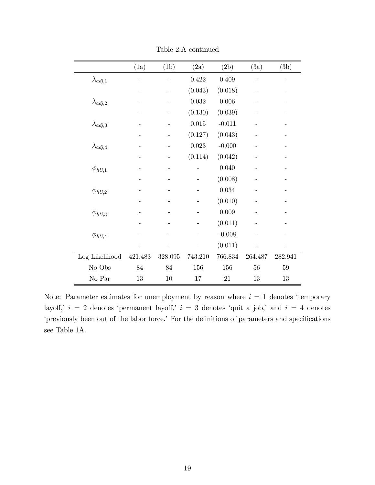|                   | (1a)    | (1b)    | (2a)    | (2b)      | (3a)    | (3b)    |
|-------------------|---------|---------|---------|-----------|---------|---------|
| $\lambda_{adj,1}$ |         |         | 0.422   | 0.409     |         |         |
|                   |         |         | (0.043) | (0.018)   |         |         |
| $\lambda_{adj,2}$ |         |         | 0.032   | 0.006     |         |         |
|                   |         |         | (0.130) | (0.039)   |         |         |
| $\lambda_{adj,3}$ |         |         | 0.015   | $-0.011$  |         |         |
|                   |         |         | (0.127) | (0.043)   |         |         |
| $\lambda_{adj,4}$ |         |         | 0.023   | $-0.000$  |         |         |
|                   |         |         | (0.114) | (0.042)   |         |         |
| $\phi_{hU,1}$     |         |         |         | 0.040     |         |         |
|                   |         |         |         | (0.008)   |         |         |
| $\phi_{hU,2}$     |         |         |         | $0.034\,$ |         |         |
|                   |         |         |         | (0.010)   |         |         |
| $\phi_{hU,3}$     |         |         |         | 0.009     |         |         |
|                   |         |         |         | (0.011)   |         |         |
| $\phi_{hU,4}$     |         |         |         | $-0.008$  |         |         |
|                   |         |         |         | (0.011)   |         |         |
| Log Likelihood    | 421.483 | 328.095 | 743.210 | 766.834   | 264.487 | 282.941 |
| No Obs            | 84      | 84      | 156     | 156       | 56      | 59      |
| No Par            | 13      | 10      | 17      | 21        | 13      | 13      |

Table 2.A continued

Note: Parameter estimates for unemployment by reason where  $i = 1$  denotes 'temporary layoff,'  $i = 2$  denotes 'permanent layoff,'  $i = 3$  denotes 'quit a job,' and  $i = 4$  denotes 'previously been out of the labor force.' For the definitions of parameters and specifications see Table 1A.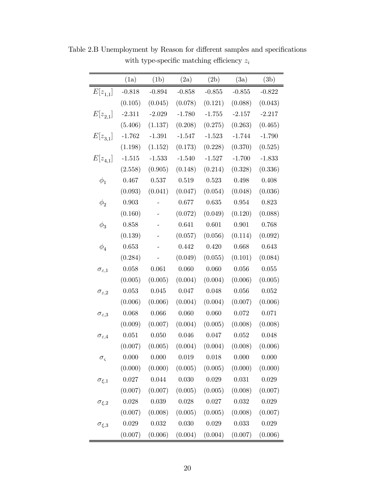|                          | (1a)     | (1b)      | (2a)      | (2b)      | (3a)        | (3b)        |
|--------------------------|----------|-----------|-----------|-----------|-------------|-------------|
| $E[z_{1,1}]$             | $-0.818$ | $-0.894$  | $-0.858$  | $-0.855$  | $-0.855$    | $-0.822$    |
|                          | (0.105)  | (0.045)   | (0.078)   | (0.121)   | (0.088)     | (0.043)     |
| $E[z_{2,1}]$             | $-2.311$ | $-2.029$  | $-1.780$  | $-1.755$  | $-2.157$    | $-2.217$    |
|                          | (5.406)  | (1.137)   | (0.208)   | (0.275)   | (0.263)     | (0.465)     |
| $E[z_{3,1}]$             | $-1.762$ | $-1.391$  | $-1.547$  | $-1.523$  | $-1.744$    | $-1.790$    |
|                          | (1.198)  | (1.152)   | (0.173)   | (0.228)   | (0.370)     | (0.525)     |
| $E[z_{4,1}]$             | $-1.515$ | $-1.533$  | $-1.540$  | $-1.527$  | $-1.700$    | $-1.833$    |
|                          | (2.558)  | (0.905)   | (0.148)   | (0.214)   | (0.328)     | (0.336)     |
| $\phi_1$                 | 0.467    | 0.537     | $0.519\,$ | 0.523     | 0.498       | 0.408       |
|                          | (0.093)  | (0.041)   | (0.047)   | (0.054)   | (0.048)     | (0.036)     |
| $\phi_2$                 | 0.903    |           | 0.677     | $0.635\,$ | $\,0.954\,$ | 0.823       |
|                          | (0.160)  |           | (0.072)   | (0.049)   | (0.120)     | (0.088)     |
| $\phi_3$                 | 0.858    |           | 0.641     | 0.601     | 0.901       | 0.768       |
|                          | (0.139)  |           | (0.057)   | (0.056)   | (0.114)     | (0.092)     |
| $\phi_4$                 | 0.653    |           | 0.442     | 0.420     | 0.668       | 0.643       |
|                          | (0.284)  |           | (0.049)   | (0.055)   | (0.101)     | (0.084)     |
| $\sigma_{\varepsilon,1}$ | 0.058    | 0.061     | 0.060     | 0.060     | 0.056       | $0.055\,$   |
|                          | (0.005)  | (0.005)   | (0.004)   | (0.004)   | (0.006)     | (0.005)     |
| $\sigma_{\varepsilon,2}$ | 0.053    | $0.045\,$ | 0.047     | 0.048     | 0.056       | $0.052\,$   |
|                          | (0.006)  | (0.006)   | (0.004)   | (0.004)   | (0.007)     | (0.006)     |
| $\sigma_{\varepsilon,3}$ | 0.068    | $0.066\,$ | 0.060     | 0.060     | $0.072\,$   | 0.071       |
|                          | (0.009)  | (0.007)   | (0.004)   | (0.005)   | (0.008)     | (0.008)     |
| $\sigma_{\varepsilon,4}$ | 0.051    | 0.050     | 0.046     | 0.047     | 0.052       | 0.048       |
|                          | (0.007)  | (0.005)   | (0.004)   | (0.004)   | (0.008)     | (0.006)     |
| $\sigma_{\varsigma}$     | 0.000    | 0.000     | 0.019     | 0.018     | 0.000       | 0.000       |
|                          | (0.000)  | (0.000)   | (0.005)   | (0.005)   | (0.000)     | (0.000)     |
| $\sigma_{\xi,1}$         | 0.027    | 0.044     | 0.030     | 0.029     | 0.031       | $\,0.029\,$ |
|                          | (0.007)  | (0.007)   | (0.005)   | (0.005)   | (0.008)     | (0.007)     |
| $\sigma_{\xi,2}$         | 0.028    | 0.039     | 0.028     | $0.027\,$ | 0.032       | 0.029       |
|                          | (0.007)  | (0.008)   | (0.005)   | (0.005)   | (0.008)     | (0.007)     |
| $\sigma_{\xi,3}$         | 0.029    | 0.032     | 0.030     | 0.029     | 0.033       | 0.029       |
|                          | (0.007)  | (0.006)   | (0.004)   | (0.004)   | (0.007)     | (0.006)     |

Table 2.B Unemployment by Reason for different samples and specifications with type-specific matching efficiency  $\boldsymbol{z}_i$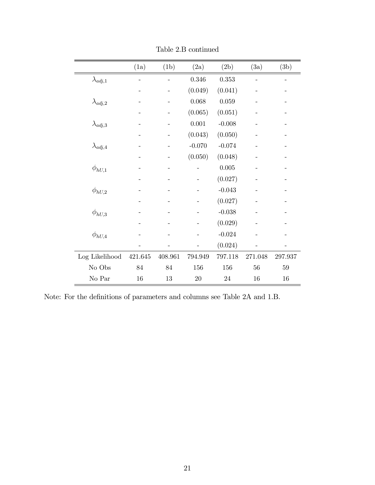|                   | (1a)    | (1b)    | (2a)     | (2b)     | (3a)    | (3b)    |
|-------------------|---------|---------|----------|----------|---------|---------|
| $\lambda_{adj,1}$ |         |         | 0.346    | 0.353    |         |         |
|                   |         |         | (0.049)  | (0.041)  |         |         |
| $\lambda_{adj,2}$ |         |         | 0.068    | 0.059    |         |         |
|                   |         |         | (0.065)  | (0.051)  |         |         |
| $\lambda_{adj,3}$ |         |         | 0.001    | $-0.008$ |         |         |
|                   |         |         | (0.043)  | (0.050)  |         |         |
| $\lambda_{adj,4}$ |         |         | $-0.070$ | $-0.074$ |         |         |
|                   |         |         | (0.050)  | (0.048)  |         |         |
| $\phi_{hU,1}$     |         |         |          | 0.005    |         |         |
|                   |         |         |          | (0.027)  |         |         |
| $\phi_{hU,2}$     |         |         |          | $-0.043$ |         |         |
|                   |         |         |          | (0.027)  |         |         |
| $\phi_{hU,3}$     |         |         |          | $-0.038$ |         |         |
|                   |         |         |          | (0.029)  |         |         |
| $\phi_{hU,4}$     |         |         |          | $-0.024$ |         |         |
|                   |         |         |          | (0.024)  |         |         |
| Log Likelihood    | 421.645 | 408.961 | 794.949  | 797.118  | 271.048 | 297.937 |
| No Obs            | 84      | 84      | 156      | 156      | 56      | 59      |
| No Par            | 16      | 13      | 20       | 24       | 16      | 16      |

Table 2.B continued

Note: For the definitions of parameters and columns see Table 2A and 1.B.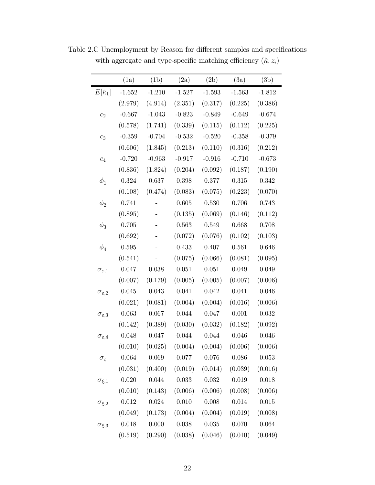|                          | (1a)        | (1b)     | (2a)      | (2b)      | (3a)      | (3b)        |
|--------------------------|-------------|----------|-----------|-----------|-----------|-------------|
| $E[\hat{\kappa}_1]$      | $-1.652$    | $-1.210$ | $-1.527$  | $-1.593$  | $-1.563$  | $-1.812$    |
|                          | (2.979)     | (4.914)  | (2.351)   | (0.317)   | (0.225)   | (0.386)     |
| $c_2$                    | $-0.667$    | $-1.043$ | $-0.823$  | $-0.849$  | $-0.649$  | $-0.674$    |
|                          | (0.578)     | (1.741)  | (0.339)   | (0.115)   | (0.112)   | (0.225)     |
| $c_3$                    | $-0.359$    | $-0.704$ | $-0.532$  | $-0.520$  | $-0.358$  | $-0.379$    |
|                          | (0.606)     | (1.845)  | (0.213)   | (0.110)   | (0.316)   | (0.212)     |
| $\mathfrak{c}_4$         | $-0.720$    | $-0.963$ | $-0.917$  | $-0.916$  | $-0.710$  | $-0.673$    |
|                          | (0.836)     | (1.824)  | (0.204)   | (0.092)   | (0.187)   | (0.190)     |
| $\phi_1$                 | 0.324       | 0.637    | 0.398     | 0.377     | 0.315     | 0.342       |
|                          | (0.108)     | (0.474)  | (0.083)   | (0.075)   | (0.223)   | (0.070)     |
| $\phi_2$                 | 0.741       |          | 0.605     | 0.530     | 0.706     | 0.743       |
|                          | (0.895)     |          | (0.135)   | (0.069)   | (0.146)   | (0.112)     |
| $\phi_3$                 | 0.705       |          | 0.563     | 0.549     | 0.668     | 0.708       |
|                          | (0.692)     |          | (0.072)   | (0.076)   | (0.102)   | (0.103)     |
| $\phi_4$                 | $\,0.595\,$ |          | 0.433     | 0.407     | 0.561     | 0.646       |
|                          | (0.541)     |          | (0.075)   | (0.066)   | (0.081)   | (0.095)     |
| $\sigma_{\varepsilon,1}$ | 0.047       | 0.038    | 0.051     | 0.051     | 0.049     | 0.049       |
|                          | (0.007)     | (0.179)  | (0.005)   | (0.005)   | (0.007)   | (0.006)     |
| $\sigma_{\varepsilon,2}$ | 0.045       | 0.043    | 0.041     | $0.042\,$ | 0.041     | 0.046       |
|                          | (0.021)     | (0.081)  | (0.004)   | (0.004)   | (0.016)   | (0.006)     |
| $\sigma_{\varepsilon,3}$ | 0.063       | 0.067    | 0.044     | 0.047     | 0.001     | $\,0.032\,$ |
|                          | (0.142)     | (0.389)  | (0.030)   | (0.032)   | (0.182)   | (0.092)     |
| $\sigma_{\varepsilon,4}$ | 0.048       | 0.047    | 0.044     | 0.044     | 0.046     | 0.046       |
|                          | (0.010)     | (0.025)  | (0.004)   | (0.004)   | (0.006)   | (0.006)     |
| $\sigma_{\varsigma}$     | 0.064       | 0.069    | $0.077\,$ | 0.076     | 0.086     | $\,0.053\,$ |
|                          | (0.031)     | (0.400)  | (0.019)   | (0.014)   | (0.039)   | (0.016)     |
| $\sigma_{\xi,1}$         | 0.020       | 0.044    | 0.033     | 0.032     | 0.019     | 0.018       |
|                          | (0.010)     | (0.143)  | (0.006)   | (0.006)   | (0.008)   | (0.006)     |
| $\sigma_{\xi,2}$         | $\,0.012\,$ | 0.024    | 0.010     | 0.008     | $0.014\,$ | 0.015       |
|                          | (0.049)     | (0.173)  | (0.004)   | (0.004)   | (0.019)   | (0.008)     |
| $\sigma_{\xi,3}$         | 0.018       | 0.000    | 0.038     | 0.035     | 0.070     | 0.064       |
|                          | (0.519)     | (0.290)  | (0.038)   | (0.046)   | (0.010)   | (0.049)     |

Table 2.C Unemployment by Reason for different samples and specifications with aggregate and type-specific matching efficiency  $(\hat{\kappa},z_i)$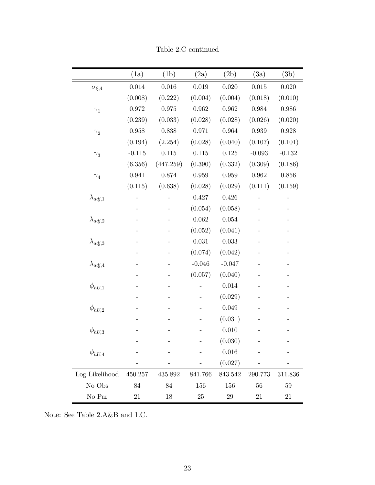|                   | (1a)        | (1b)      | (2a)     | (2b)     | (3a)        | (3b)      |
|-------------------|-------------|-----------|----------|----------|-------------|-----------|
| $\sigma_{\xi,4}$  | 0.014       | 0.016     | 0.019    | 0.020    | $0.015\,$   | 0.020     |
|                   | (0.008)     | (0.222)   | (0.004)  | (0.004)  | (0.018)     | (0.010)   |
| $\gamma_1$        | 0.972       | 0.975     | 0.962    | 0.962    | 0.984       | 0.986     |
|                   | (0.239)     | (0.033)   | (0.028)  | (0.028)  | (0.026)     | (0.020)   |
| $\gamma_2$        | $\,0.958\,$ | 0.838     | 0.971    | 0.964    | 0.939       | $0.928\,$ |
|                   | (0.194)     | (2.254)   | (0.028)  | (0.040)  | (0.107)     | (0.101)   |
| $\gamma_3$        | $-0.115$    | 0.115     | 0.115    | 0.125    | $-0.093$    | $-0.132$  |
|                   | (6.356)     | (447.259) | (0.390)  | (0.332)  | (0.309)     | (0.186)   |
| $\gamma_4$        | 0.941       | 0.874     | 0.959    | 0.959    | $\,0.962\,$ | 0.856     |
|                   | (0.115)     | (0.638)   | (0.028)  | (0.029)  | (0.111)     | (0.159)   |
| $\lambda_{adj,1}$ |             |           | 0.427    | 0.426    |             |           |
|                   |             |           | (0.054)  | (0.058)  |             |           |
| $\lambda_{adj,2}$ |             |           | 0.062    | 0.054    |             |           |
|                   |             |           | (0.052)  | (0.041)  |             |           |
| $\lambda_{adj,3}$ |             |           | 0.031    | 0.033    |             |           |
|                   |             |           | (0.074)  | (0.042)  |             |           |
| $\lambda_{adj,4}$ |             |           | $-0.046$ | $-0.047$ |             |           |
|                   |             |           | (0.057)  | (0.040)  |             |           |
| $\phi_{hU,1}$     |             |           |          | 0.014    |             |           |
|                   |             |           |          | (0.029)  |             |           |
| $\phi_{hU,2}$     |             |           |          | 0.049    |             |           |
|                   |             |           |          | (0.031)  |             |           |
| $\phi_{hU,3}$     |             |           |          | 0.010    |             |           |
|                   |             |           |          | (0.030)  |             |           |
| $\phi_{hU,4}$     |             |           |          | 0.016    |             |           |
|                   |             |           |          | (0.027)  |             |           |
| Log Likelihood    | 450.257     | 435.892   | 841.766  | 843.542  | 290.773     | 311.836   |
| No Obs            | 84          | 84        | 156      | 156      | 56          | 59        |
| No Par            | 21          | 18        | 25       | $\,29$   | 21          | 21        |

Table 2.C continued

Note: See Table 2.A&B and 1.C.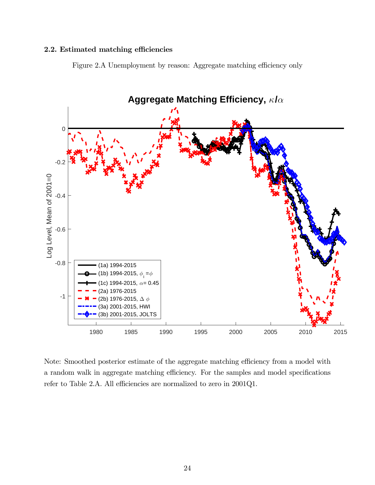#### 2.2. Estimated matching efficiencies

Figure 2.A Unemployment by reason: Aggregate matching efficiency only



Note: Smoothed posterior estimate of the aggregate matching efficiency from a model with a random walk in aggregate matching efficiency. For the samples and model specifications refer to Table 2.A. All efficiencies are normalized to zero in 2001Q1.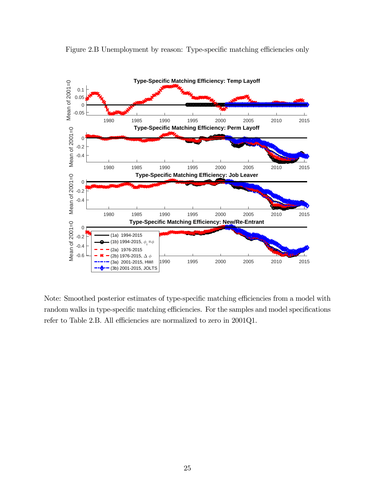

Figure 2.B Unemployment by reason: Type-specific matching efficiencies only

Note: Smoothed posterior estimates of type-specific matching efficiencies from a model with random walks in type-specific matching efficiencies. For the samples and model specifications refer to Table 2.B. All efficiencies are normalized to zero in 2001Q1.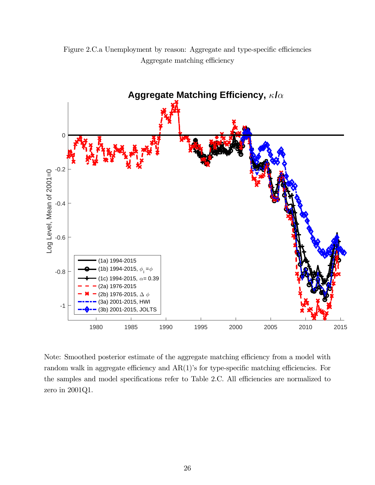

Figure 2.C.a Unemployment by reason: Aggregate and type-specific efficiencies Aggregate matching efficiency

Note: Smoothed posterior estimate of the aggregate matching efficiency from a model with random walk in aggregate efficiency and AR(1)'s for type-specific matching efficiencies. For the samples and model specifications refer to Table 2.C. All efficiencies are normalized to zero in 2001Q1.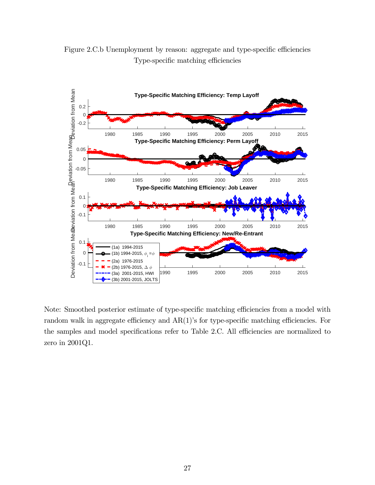

Figure 2.C.b Unemployment by reason: aggregate and type-specific efficiencies Type-specific matching efficiencies

Note: Smoothed posterior estimate of type-specific matching efficiencies from a model with random walk in aggregate efficiency and AR(1)'s for type-specific matching efficiencies. For the samples and model specifications refer to Table 2.C. All efficiencies are normalized to zero in 2001Q1.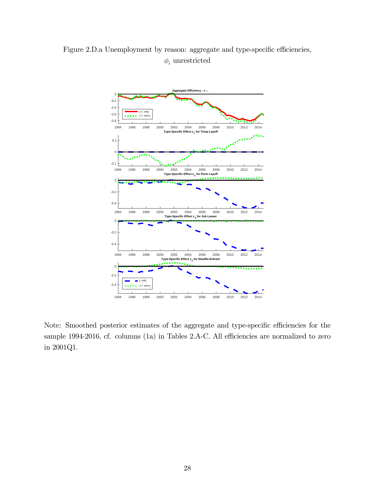

Figure 2.D.a Unemployment by reason: aggregate and type-specific efficiencies,  $\phi_i$  unrestricted

Note: Smoothed posterior estimates of the aggregate and type-specific efficiencies for the sample 1994-2016, cf. columns (1a) in Tables 2.A-C. All efficiencies are normalized to zero in 2001Q1.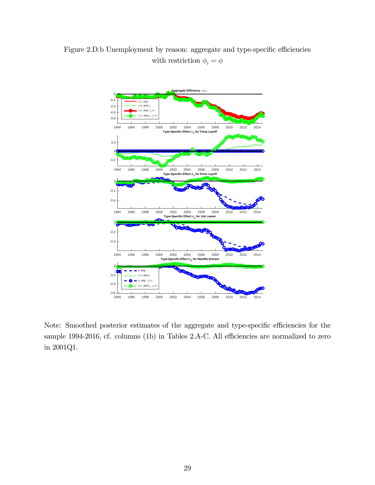

Figure 2.D.b Unemployment by reason: aggregate and type-specific efficiencies with restriction  $\phi_i = \phi$ 

Note: Smoothed posterior estimates of the aggregate and type-specific efficiencies for the sample 1994-2016, cf. columns (1b) in Tables 2.A-C. All efficiencies are normalized to zero in 2001Q1.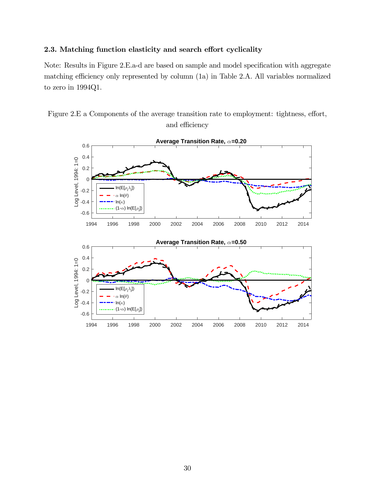#### 2.3. Matching function elasticity and search effort cyclicality

Note: Results in Figure 2.E.a-d are based on sample and model specification with aggregate matching efficiency only represented by column (1a) in Table 2.A. All variables normalized to zero in 1994Q1.



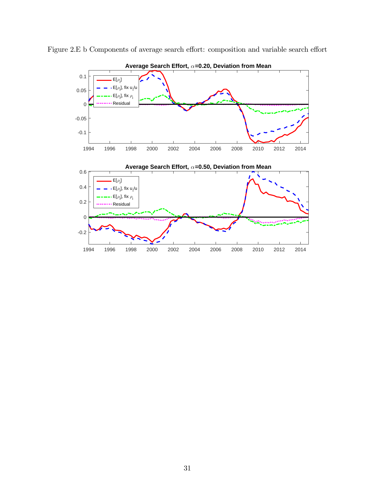

Figure 2.E b Components of average search effort: composition and variable search effort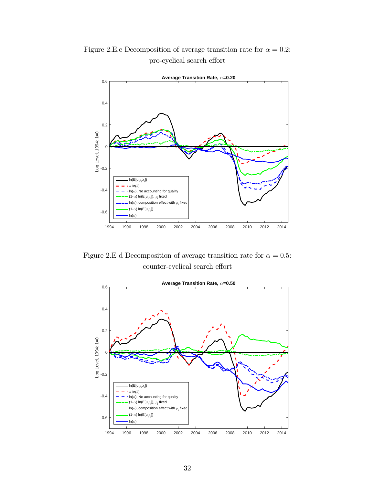Figure 2.E.c Decomposition of average transition rate for  $\alpha = 0.2$ : pro-cyclical search effort



Figure 2.E d Decomposition of average transition rate for  $\alpha = 0.5$ : counter-cyclical search effort

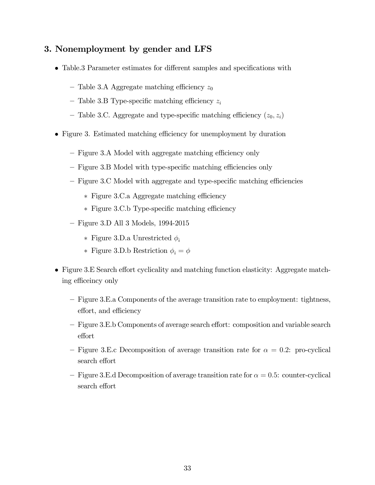## 3. Nonemployment by gender and LFS

- Table.3 Parameter estimates for different samples and specifications with
	- Table 3.A Aggregate matching efficiency  $z_0$
	- Table 3.B Type-specific matching efficiency  $z_i$
	- Table 3.C. Aggregate and type-specific matching efficiency  $(z_0, z_i)$
- Figure 3. Estimated matching efficiency for unemployment by duration
	- Figure 3.A Model with aggregate matching efficiency only
	- Figure 3.B Model with type-specific matching efficiencies only
	- Figure 3.C Model with aggregate and type-specific matching efficiencies
		- ∗ Figure 3.C.a Aggregate matching efficiency
		- ∗ Figure 3.C.b Type-specific matching efficiency
	- Figure 3.D All 3 Models, 1994-2015
		- ∗ Figure 3.D.a Unrestricted
		- ∗ Figure 3.D.b Restriction  $\phi_i = \phi$
- Figure 3.E Search effort cyclicality and matching function elasticity: Aggregate matching efficeincy only
	- Figure 3.E.a Components of the average transition rate to employment: tightness, effort, and efficiency
	- Figure 3.E.b Components of average search effort: composition and variable search effort
	- Figure 3.E.c Decomposition of average transition rate for  $\alpha = 0.2$ : pro-cyclical search effort
	- $-$  Figure 3.E.d Decomposition of average transition rate for  $\alpha = 0.5$ : counter-cyclical search effort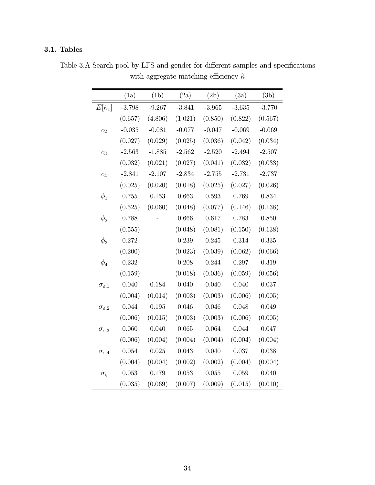## 3.1. Tables

|                          | (1a)     | (1b)     | (2a)     | (2b)     | (3a)     | (3b)     |
|--------------------------|----------|----------|----------|----------|----------|----------|
| $E[\hat{\kappa}_1]$      | $-3.798$ | $-9.267$ | $-3.841$ | $-3.965$ | $-3.635$ | $-3.770$ |
|                          | (0.657)  | (4.806)  | (1.021)  | (0.850)  | (0.822)  | (0.567)  |
| $\overline{c_2}$         | $-0.035$ | $-0.081$ | $-0.077$ | $-0.047$ | $-0.069$ | $-0.069$ |
|                          | (0.027)  | (0.029)  | (0.025)  | (0.036)  | (0.042)  | (0.034)  |
| $c_3$                    | $-2.563$ | $-1.885$ | $-2.562$ | $-2.520$ | $-2.494$ | $-2.507$ |
|                          | (0.032)  | (0.021)  | (0.027)  | (0.041)  | (0.032)  | (0.033)  |
| $c_4$                    | $-2.841$ | $-2.107$ | $-2.834$ | $-2.755$ | $-2.731$ | $-2.737$ |
|                          | (0.025)  | (0.020)  | (0.018)  | (0.025)  | (0.027)  | (0.026)  |
| $\phi_1$                 | 0.755    | 0.153    | 0.663    | 0.593    | 0.769    | 0.834    |
|                          | (0.525)  | (0.060)  | (0.048)  | (0.077)  | (0.146)  | (0.138)  |
| $\phi_2$                 | 0.788    |          | 0.666    | 0.617    | 0.783    | 0.850    |
|                          | (0.555)  |          | (0.048)  | (0.081)  | (0.150)  | (0.138)  |
| $\phi_3$                 | 0.272    |          | 0.239    | 0.245    | 0.314    | 0.335    |
|                          | (0.200)  |          | (0.023)  | (0.039)  | (0.062)  | (0.066)  |
| $\phi_4$                 | 0.232    |          | 0.208    | 0.244    | 0.297    | 0.319    |
|                          | (0.159)  |          | (0.018)  | (0.036)  | (0.059)  | (0.056)  |
| $\sigma_{\varepsilon,1}$ | 0.040    | 0.184    | 0.040    | 0.040    | 0.040    | 0.037    |
|                          | (0.004)  | (0.014)  | (0.003)  | (0.003)  | (0.006)  | (0.005)  |
| $\sigma_{\varepsilon,2}$ | 0.044    | 0.195    | 0.046    | 0.046    | 0.048    | 0.049    |
|                          | (0.006)  | (0.015)  | (0.003)  | (0.003)  | (0.006)  | (0.005)  |
| $\sigma_{\varepsilon,3}$ | 0.060    | 0.040    | 0.065    | 0.064    | 0.044    | 0.047    |
|                          | (0.006)  | (0.004)  | (0.004)  | (0.004)  | (0.004)  | (0.004)  |
| $\sigma_{\varepsilon,4}$ | 0.054    | 0.025    | 0.043    | 0.040    | 0.037    | 0.038    |
|                          | (0.004)  | (0.004)  | (0.002)  | (0.002)  | (0.004)  | (0.004)  |
| $\sigma_{\varsigma}$     | 0.053    | 0.179    | 0.053    | 0.055    | 0.059    | 0.040    |
|                          | (0.035)  | (0.069)  | (0.007)  | (0.009)  | (0.015)  | (0.010)  |

Table 3.A Search pool by LFS and gender for different samples and specifications with aggregate matching efficiency  $\hat{\kappa}$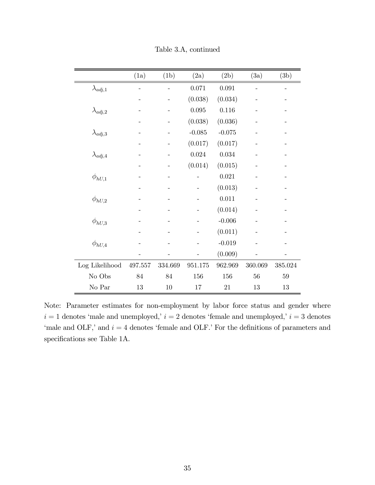|                   | (1a)        | (1b)    | (2a)     | (2b)     | (3a)    | (3b)    |
|-------------------|-------------|---------|----------|----------|---------|---------|
| $\lambda_{adj,1}$ |             |         | 0.071    | 0.091    |         |         |
|                   |             |         | (0.038)  | (0.034)  |         |         |
| $\lambda_{adj,2}$ |             |         | 0.095    | 0.116    |         |         |
|                   |             |         | (0.038)  | (0.036)  |         |         |
| $\lambda_{adj,3}$ |             |         | $-0.085$ | $-0.075$ |         |         |
|                   |             |         | (0.017)  | (0.017)  |         |         |
| $\lambda_{adj,4}$ |             |         | 0.024    | 0.034    |         |         |
|                   |             |         | (0.014)  | (0.015)  |         |         |
| $\phi_{hU,1}$     |             |         |          | 0.021    |         |         |
|                   |             |         |          | (0.013)  |         |         |
| $\phi_{hU,2}$     |             |         |          | 0.011    |         |         |
|                   |             |         |          | (0.014)  |         |         |
| $\phi_{hU,3}$     |             |         |          | $-0.006$ |         |         |
|                   |             |         |          | (0.011)  |         |         |
| $\phi_{hU,4}$     |             |         |          | $-0.019$ |         |         |
|                   |             |         |          | (0.009)  |         |         |
| Log Likelihood    | $497.557\,$ | 334.669 | 951.175  | 962.969  | 360.069 | 385.024 |
| No Obs            | 84          | 84      | 156      | 156      | 56      | 59      |
| No Par            | 13          | 10      | 17       | 21       | 13      | 13      |

Table 3.A, continued

Note: Parameter estimates for non-employment by labor force status and gender where  $i=1$  denotes 'male and unemployed,'  $i=2$  denotes 'female and unemployed,'  $i=3$  denotes 'male and OLF,' and  $i = 4$  denotes 'female and OLF.' For the definitions of parameters and specifications see Table 1A.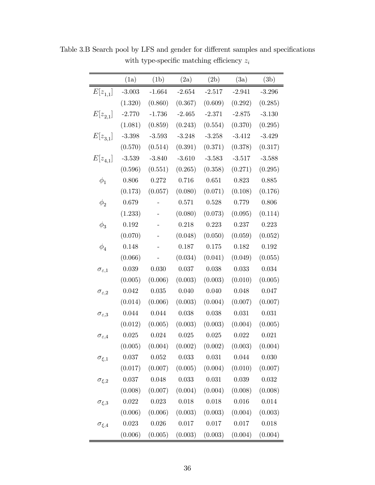|                          | (1a)      | (1b)        | (2a)        | (2b)        | (3a)        | (3b)      |
|--------------------------|-----------|-------------|-------------|-------------|-------------|-----------|
| $E[z_{1,1}]$             | $-3.003$  | $-1.664$    | $-2.654$    | $-2.517$    | $-2.941$    | $-3.296$  |
|                          | (1.320)   | (0.860)     | (0.367)     | (0.609)     | (0.292)     | (0.285)   |
| $E[z_{2,1}]$             | $-2.770$  | $-1.736$    | $-2.465$    | $-2.371$    | $-2.875$    | $-3.130$  |
|                          | (1.081)   | (0.859)     | (0.243)     | (0.554)     | (0.370)     | (0.295)   |
| $E[z_{3,1}]$             | $-3.398$  | $-3.593$    | $-3.248$    | $-3.258$    | $-3.412$    | $-3.429$  |
|                          | (0.570)   | (0.514)     | (0.391)     | (0.371)     | (0.378)     | (0.317)   |
| $E[z_{4,1}]$             | $-3.539$  | $-3.840$    | $-3.610$    | $-3.583$    | $-3.517$    | $-3.588$  |
|                          | (0.596)   | (0.551)     | (0.265)     | (0.358)     | (0.271)     | (0.295)   |
| $\phi_1$                 | 0.806     | 0.272       | 0.716       | 0.651       | 0.823       | 0.885     |
|                          | (0.173)   | (0.057)     | (0.080)     | (0.071)     | (0.108)     | (0.176)   |
| $\phi_2$                 | 0.679     |             | 0.571       | $\,0.528\,$ | 0.779       | 0.806     |
|                          | (1.233)   |             | (0.080)     | (0.073)     | (0.095)     | (0.114)   |
| $\phi_3$                 | 0.192     |             | 0.218       | $0.223\,$   | 0.237       | 0.223     |
|                          | (0.070)   |             | (0.048)     | (0.050)     | (0.059)     | (0.052)   |
| $\phi_4$                 | 0.148     |             | $0.187\,$   | 0.175       | 0.182       | $0.192\,$ |
|                          | (0.066)   |             | (0.034)     | (0.041)     | (0.049)     | (0.055)   |
| $\sigma_{\varepsilon,1}$ | 0.039     | 0.030       | 0.037       | 0.038       | $\,0.033\,$ | 0.034     |
|                          | (0.005)   | (0.006)     | (0.003)     | (0.003)     | (0.010)     | (0.005)   |
| $\sigma_{\varepsilon,2}$ | 0.042     | $0.035\,$   | 0.040       | 0.040       | 0.048       | 0.047     |
|                          | (0.014)   | (0.006)     | (0.003)     | (0.004)     | (0.007)     | (0.007)   |
| $\sigma_{\varepsilon,3}$ | 0.044     | 0.044       | $0.038\,$   | 0.038       | 0.031       | 0.031     |
|                          | (0.012)   | (0.005)     | (0.003)     | (0.003)     | (0.004)     | (0.005)   |
| $\sigma_{\varepsilon,4}$ | 0.025     | 0.024       | 0.025       | 0.025       | 0.022       | 0.021     |
|                          | (0.005)   | (0.004)     | (0.002)     | (0.002)     | (0.003)     | (0.004)   |
| $\sigma_{\xi,1}$         | 0.037     | $0.052\,$   | $\,0.033\,$ | 0.031       | 0.044       | 0.030     |
|                          | (0.017)   | (0.007)     | (0.005)     | (0.004)     | (0.010)     | (0.007)   |
| $\sigma_{\xi,2}$         | $0.037\,$ | 0.048       | $\,0.033\,$ | 0.031       | 0.039       | $0.032\,$ |
|                          | (0.008)   | (0.007)     | (0.004)     | (0.004)     | (0.008)     | (0.008)   |
| $\sigma_{\xi,3}$         | 0.022     | $\,0.023\,$ | 0.018       | 0.018       | 0.016       | 0.014     |
|                          | (0.006)   | (0.006)     | (0.003)     | (0.003)     | (0.004)     | (0.003)   |
| $\sigma_{\xi,4}$         | 0.023     | 0.026       | $0.017\,$   | 0.017       | 0.017       | 0.018     |
|                          | (0.006)   | (0.005)     | (0.003)     | (0.003)     | (0.004)     | (0.004)   |

Table 3.B Search pool by LFS and gender for different samples and specifications with type-specific matching efficiency  $\boldsymbol{z}_i$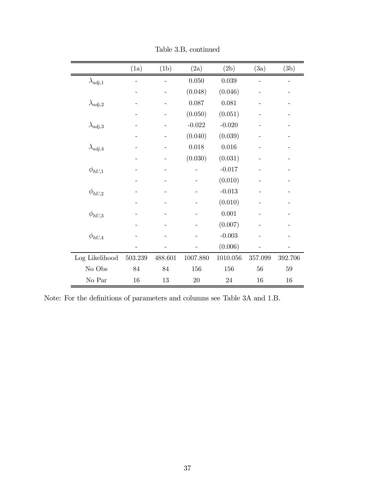|                   | (1a)    | (1b)    | (2a)     | (2b)     | (3a)    | (3b)    |
|-------------------|---------|---------|----------|----------|---------|---------|
| $\lambda_{adj,1}$ |         |         | 0.050    | 0.039    |         |         |
|                   |         |         | (0.048)  | (0.046)  |         |         |
| $\lambda_{adj,2}$ |         |         | 0.087    | 0.081    |         |         |
|                   |         |         | (0.050)  | (0.051)  |         |         |
| $\lambda_{adj,3}$ |         |         | $-0.022$ | $-0.020$ |         |         |
|                   |         |         | (0.040)  | (0.039)  |         |         |
| $\lambda_{adj,4}$ |         |         | 0.018    | 0.016    |         |         |
|                   |         |         | (0.030)  | (0.031)  |         |         |
| $\phi_{hU,1}$     |         |         |          | $-0.017$ |         |         |
|                   |         |         |          | (0.010)  |         |         |
| $\phi_{hU,2}$     |         |         |          | $-0.013$ |         |         |
|                   |         |         |          | (0.010)  |         |         |
| $\phi_{hU,3}$     |         |         |          | 0.001    |         |         |
|                   |         |         |          | (0.007)  |         |         |
| $\phi_{hU,4}$     |         |         |          | $-0.003$ |         |         |
|                   |         |         |          | (0.006)  |         |         |
| Log Likelihood    | 503.239 | 488.601 | 1007.880 | 1010.056 | 357.099 | 392.706 |
| No Obs            | 84      | 84      | 156      | 156      | 56      | 59      |
| No Par            | $16\,$  | $13\,$  | 20       | 24       | 16      | 16      |

Table 3.B, continued

Note: For the definitions of parameters and columns see Table 3A and 1.B.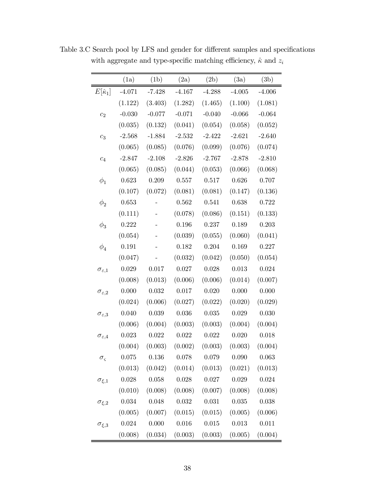|                          | (1a)      | (1b)     | (2a)      | (2b)     | (3a)     | (3b)     |
|--------------------------|-----------|----------|-----------|----------|----------|----------|
| $E[\hat{\kappa}_1]$      | $-4.071$  | $-7.428$ | $-4.167$  | $-4.288$ | $-4.005$ | $-4.006$ |
|                          | (1.122)   | (3.403)  | (1.282)   | (1.465)  | (1.100)  | (1.081)  |
| c <sub>2</sub>           | $-0.030$  | $-0.077$ | $-0.071$  | $-0.040$ | $-0.066$ | $-0.064$ |
|                          | (0.035)   | (0.132)  | (0.041)   | (0.054)  | (0.058)  | (0.052)  |
| $c_3$                    | $-2.568$  | $-1.884$ | $-2.532$  | $-2.422$ | $-2.621$ | $-2.640$ |
|                          | (0.065)   | (0.085)  | (0.076)   | (0.099)  | (0.076)  | (0.074)  |
| $c_4$                    | $-2.847$  | $-2.108$ | $-2.826$  | $-2.767$ | $-2.878$ | $-2.810$ |
|                          | (0.065)   | (0.085)  | (0.044)   | (0.053)  | (0.066)  | (0.068)  |
| $\phi_1$                 | 0.623     | 0.209    | 0.557     | 0.517    | 0.626    | 0.707    |
|                          | (0.107)   | (0.072)  | (0.081)   | (0.081)  | (0.147)  | (0.136)  |
| $\phi_2$                 | 0.653     |          | 0.562     | 0.541    | 0.638    | 0.722    |
|                          | (0.111)   |          | (0.078)   | (0.086)  | (0.151)  | (0.133)  |
| $\phi_3$                 | 0.222     |          | 0.196     | 0.237    | 0.189    | 0.203    |
|                          | (0.054)   |          | (0.039)   | (0.055)  | (0.060)  | (0.041)  |
| $\phi_4$                 | 0.191     |          | 0.182     | 0.204    | 0.169    | 0.227    |
|                          | (0.047)   |          | (0.032)   | (0.042)  | (0.050)  | (0.054)  |
| $\sigma_{\varepsilon,1}$ | 0.029     | 0.017    | 0.027     | 0.028    | 0.013    | 0.024    |
|                          | (0.008)   | (0.013)  | (0.006)   | (0.006)  | (0.014)  | (0.007)  |
| $\sigma_{\varepsilon,2}$ | 0.000     | 0.032    | 0.017     | 0.020    | 0.000    | 0.000    |
|                          | (0.024)   | (0.006)  | (0.027)   | (0.022)  | (0.020)  | (0.029)  |
| $\sigma_{\varepsilon,3}$ | 0.040     | 0.039    | 0.036     | 0.035    | 0.029    | 0.030    |
|                          | (0.006)   | (0.004)  | (0.003)   | (0.003)  | (0.004)  | (0.004)  |
| $\sigma_{\varepsilon,4}$ | 0.023     | 0.022    | 0.022     | 0.022    | 0.020    | 0.018    |
|                          | (0.004)   | (0.003)  | (0.002)   | (0.003)  | (0.003)  | (0.004)  |
| $\sigma_{\varsigma}$     | $0.075\,$ | 0.136    | $0.078\,$ | 0.079    | 0.090    | 0.063    |
|                          | (0.013)   | (0.042)  | (0.014)   | (0.013)  | (0.021)  | (0.013)  |
| $\sigma_{\xi,1}$         | 0.028     | 0.058    | 0.028     | 0.027    | 0.029    | 0.024    |
|                          | (0.010)   | (0.008)  | (0.008)   | (0.007)  | (0.008)  | (0.008)  |
| $\sigma_{\xi,2}$         | 0.034     | 0.048    | 0.032     | 0.031    | 0.035    | 0.038    |
|                          | (0.005)   | (0.007)  | (0.015)   | (0.015)  | (0.005)  | (0.006)  |
| $\sigma_{\xi,3}$         | 0.024     | 0.000    | 0.016     | 0.015    | 0.013    | 0.011    |
|                          | (0.008)   | (0.034)  | (0.003)   | (0.003)  | (0.005)  | (0.004)  |

Table 3.C Search pool by LFS and gender for different samples and specifications with aggregate and type-specific matching efficiency,  $\hat{\kappa}$  and  $z_i$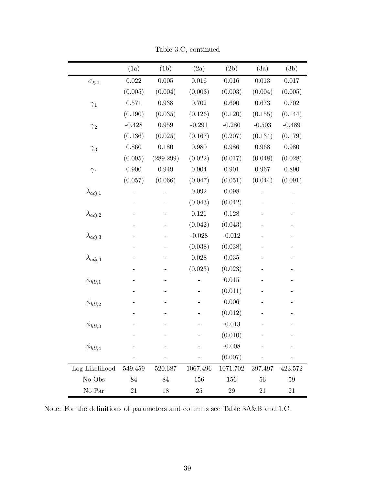|                   | (1a)        | (1b)        | (2a)        | (2b)        | (3a)      | (3b)      |
|-------------------|-------------|-------------|-------------|-------------|-----------|-----------|
| $\sigma_{\xi,4}$  | $\,0.022\,$ | $0.005\,$   | $0.016\,$   | $0.016\,$   | $0.013\,$ | $0.017\,$ |
|                   | (0.005)     | (0.004)     | (0.003)     | (0.003)     | (0.004)   | (0.005)   |
| $\gamma_1$        | 0.571       | 0.938       | 0.702       | 0.690       | 0.673     | $0.702\,$ |
|                   | (0.190)     | (0.035)     | (0.126)     | (0.120)     | (0.155)   | (0.144)   |
| $\gamma_2$        | $-0.428$    | $\,0.959\,$ | $-0.291$    | $-0.280$    | $-0.503$  | $-0.489$  |
|                   | (0.136)     | (0.025)     | (0.167)     | (0.207)     | (0.134)   | (0.179)   |
| $\gamma_3$        | 0.860       | 0.180       | 0.980       | $\,0.986\,$ | 0.968     | $0.980\,$ |
|                   | (0.095)     | (289.299)   | (0.022)     | (0.017)     | (0.048)   | (0.028)   |
| $\gamma_4$        | 0.900       | 0.949       | $\,0.904\,$ | 0.901       | 0.967     | 0.890     |
|                   | (0.057)     | (0.066)     | (0.047)     | (0.051)     | (0.044)   | (0.091)   |
| $\lambda_{adj,1}$ |             |             | $\,0.092\,$ | 0.098       |           |           |
|                   |             |             | (0.043)     | (0.042)     |           |           |
| $\lambda_{adj,2}$ |             |             | 0.121       | 0.128       |           |           |
|                   |             |             | (0.042)     | (0.043)     |           |           |
| $\lambda_{adj,3}$ |             |             | $-0.028$    | $-0.012$    |           |           |
|                   |             |             | (0.038)     | (0.038)     |           |           |
| $\lambda_{adj,4}$ |             |             | 0.028       | $\,0.035\,$ |           |           |
|                   |             |             | (0.023)     | (0.023)     |           |           |
| $\phi_{hU,1}$     |             |             |             | $0.015\,$   |           |           |
|                   |             |             |             | (0.011)     |           |           |
| $\phi_{hU,2}$     |             |             |             | 0.006       |           |           |
|                   |             |             |             | (0.012)     |           |           |
| $\phi_{hU,3}$     |             |             |             | $-0.013$    |           |           |
|                   |             |             |             | (0.010)     |           |           |
| $\phi_{hU,4}$     |             |             |             | $-0.008$    |           |           |
|                   |             |             |             | (0.007)     |           |           |
| Log Likelihood    | 549.459     | 520.687     | 1067.496    | 1071.702    | 397.497   | 423.572   |
| No Obs            | 84          | 84          | 156         | 156         | 56        | 59        |
| No Par            | 21          | 18          | $25\,$      | 29          | 21        | 21        |

Table 3.C, continued

Note: For the definitions of parameters and columns see Table 3A&B and 1.C.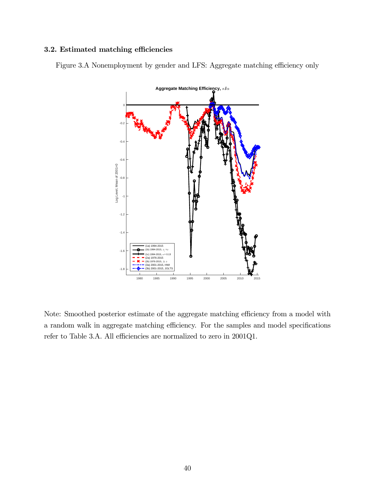#### 3.2. Estimated matching efficiencies

Figure 3.A Nonemployment by gender and LFS: Aggregate matching efficiency only



Note: Smoothed posterior estimate of the aggregate matching efficiency from a model with a random walk in aggregate matching efficiency. For the samples and model specifications refer to Table 3.A. All efficiencies are normalized to zero in 2001Q1.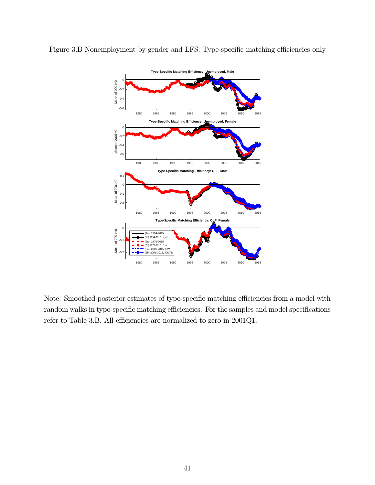

Figure 3.B Nonemployment by gender and LFS: Type-specific matching efficiencies only

Note: Smoothed posterior estimates of type-specific matching efficiencies from a model with random walks in type-specific matching efficiencies. For the samples and model specifications refer to Table 3.B. All efficiencies are normalized to zero in 2001Q1.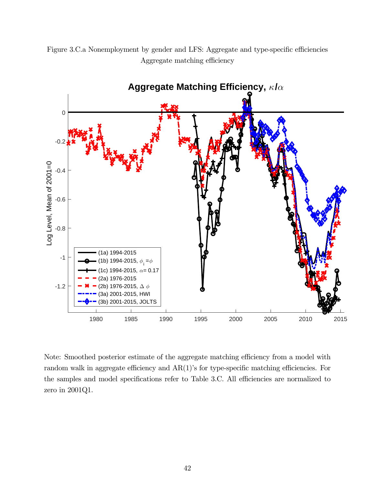



Note: Smoothed posterior estimate of the aggregate matching efficiency from a model with random walk in aggregate efficiency and AR(1)'s for type-specific matching efficiencies. For the samples and model specifications refer to Table 3.C. All efficiencies are normalized to zero in 2001Q1.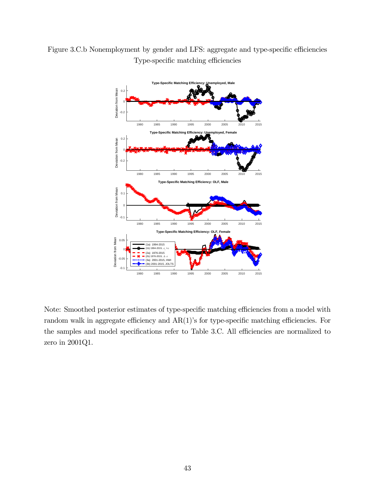



Note: Smoothed posterior estimates of type-specific matching efficiencies from a model with random walk in aggregate efficiency and AR(1)'s for type-specific matching efficiencies. For the samples and model specifications refer to Table 3.C. All efficiencies are normalized to zero in 2001Q1.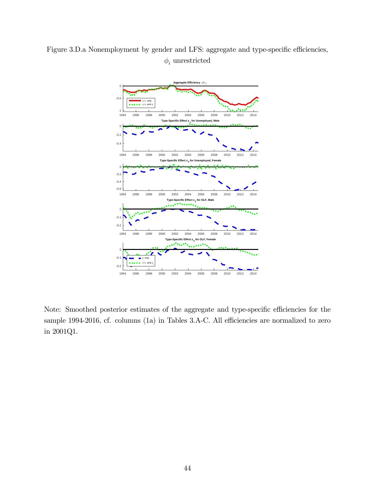



Note: Smoothed posterior estimates of the aggregate and type-specific efficiencies for the sample 1994-2016, cf. columns (1a) in Tables 3.A-C. All efficiencies are normalized to zero in 2001Q1.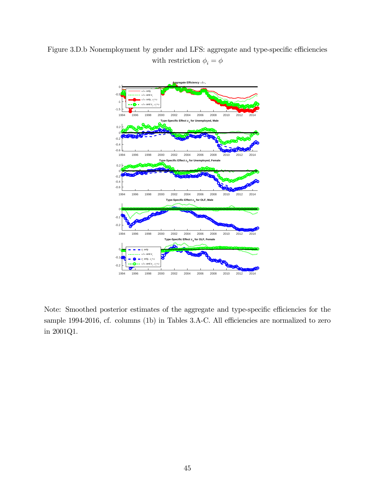Figure 3.D.b Nonemployment by gender and LFS: aggregate and type-specific efficiencies with restriction  $\phi_i = \phi$ 



Note: Smoothed posterior estimates of the aggregate and type-specific efficiencies for the sample 1994-2016, cf. columns (1b) in Tables 3.A-C. All efficiencies are normalized to zero in 2001Q1.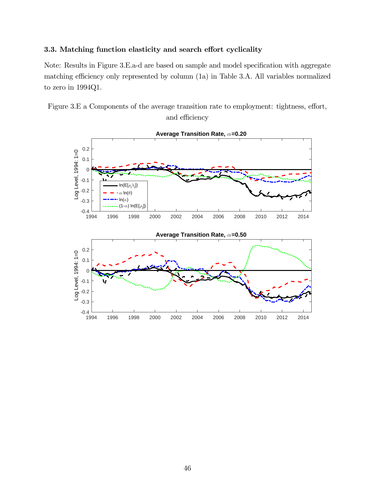#### 3.3. Matching function elasticity and search effort cyclicality

Note: Results in Figure 3.E.a-d are based on sample and model specification with aggregate matching efficiency only represented by column (1a) in Table 3.A. All variables normalized to zero in 1994Q1.



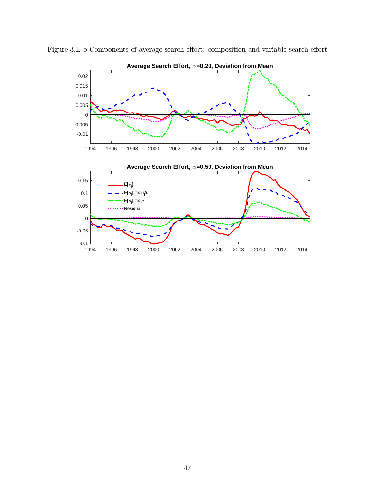

Figure 3.E b Components of average search effort: composition and variable search effort